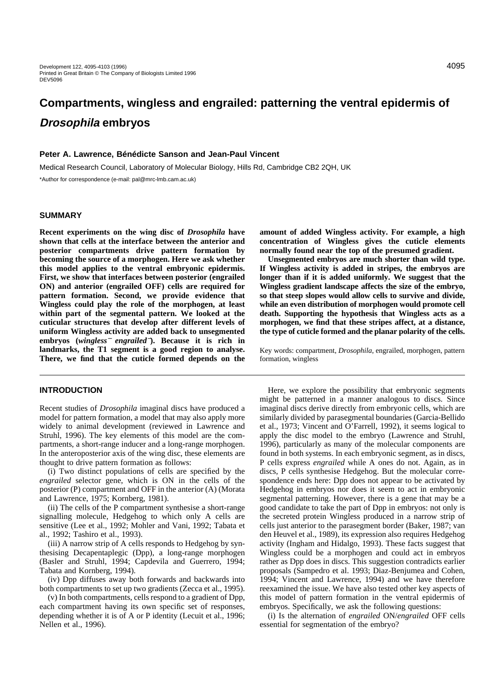# **Compartments, wingless and engrailed: patterning the ventral epidermis of Drosophila embryos**

# **Peter A. Lawrence, Bénédicte Sanson and Jean-Paul Vincent**

Medical Research Council, Laboratory of Molecular Biology, Hills Rd, Cambridge CB2 2QH, UK \*Author for correspondence (e-mail: pal@mrc-lmb.cam.ac.uk)

# **SUMMARY**

**Recent experiments on the wing disc of** *Drosophila* **have shown that cells at the interface between the anterior and posterior compartments drive pattern formation by becoming the source of a morphogen. Here we ask whether this model applies to the ventral embryonic epidermis. First, we show that interfaces between posterior (engrailed ON) and anterior (engrailed OFF) cells are required for pattern formation. Second, we provide evidence that Wingless could play the role of the morphogen, at least within part of the segmental pattern. We looked at the cuticular structures that develop after different levels of uniform Wingless activity are added back to unsegmented embryos (***wingless*<sup>−</sup> *engrailed*−**). Because it is rich in landmarks, the T1 segment is a good region to analyse. There, we find that the cuticle formed depends on the**

# **INTRODUCTION**

Recent studies of *Drosophila* imaginal discs have produced a model for pattern formation, a model that may also apply more widely to animal development (reviewed in Lawrence and Struhl, 1996). The key elements of this model are the compartments, a short-range inducer and a long-range morphogen. In the anteroposterior axis of the wing disc, these elements are thought to drive pattern formation as follows:

(i) Two distinct populations of cells are specified by the *engrailed* selector gene, which is ON in the cells of the posterior (P) compartment and OFF in the anterior (A) (Morata and Lawrence, 1975; Kornberg, 1981).

(ii) The cells of the P compartment synthesise a short-range signalling molecule, Hedgehog to which only A cells are sensitive (Lee et al., 1992; Mohler and Vani, 1992; Tabata et al., 1992; Tashiro et al., 1993).

(iii) A narrow strip of A cells responds to Hedgehog by synthesising Decapentaplegic (Dpp), a long-range morphogen (Basler and Struhl, 1994; Capdevila and Guerrero, 1994; Tabata and Kornberg, 1994).

(iv) Dpp diffuses away both forwards and backwards into both compartments to set up two gradients (Zecca et al., 1995).

(v) In both compartments, cells respond to a gradient of Dpp, each compartment having its own specific set of responses, depending whether it is of A or P identity (Lecuit et al., 1996; Nellen et al., 1996).

**amount of added Wingless activity. For example, a high concentration of Wingless gives the cuticle elements normally found near the top of the presumed gradient.** 

**Unsegmented embryos are much shorter than wild type. If Wingless activity is added in stripes, the embryos are longer than if it is added uniformly. We suggest that the Wingless gradient landscape affects the size of the embryo, so that steep slopes would allow cells to survive and divide, while an even distribution of morphogen would promote cell death. Supporting the hypothesis that Wingless acts as a morphogen, we find that these stripes affect, at a distance, the type of cuticle formed and the planar polarity of the cells.** 

Key words: compartment, *Drosophila*, engrailed, morphogen, pattern formation, wingless

Here, we explore the possibility that embryonic segments might be patterned in a manner analogous to discs. Since imaginal discs derive directly from embryonic cells, which are similarly divided by parasegmental boundaries (Garcia-Bellido et al., 1973; Vincent and O'Farrell, 1992), it seems logical to apply the disc model to the embryo (Lawrence and Struhl, 1996), particularly as many of the molecular components are found in both systems. In each embryonic segment, as in discs, P cells express *engrailed* while A ones do not. Again, as in discs, P cells synthesise Hedgehog. But the molecular correspondence ends here: Dpp does not appear to be activated by Hedgehog in embryos nor does it seem to act in embryonic segmental patterning. However, there is a gene that may be a good candidate to take the part of Dpp in embryos: not only is the secreted protein Wingless produced in a narrow strip of cells just anterior to the parasegment border (Baker, 1987; van den Heuvel et al., 1989), its expression also requires Hedgehog activity (Ingham and Hidalgo, 1993). These facts suggest that Wingless could be a morphogen and could act in embryos rather as Dpp does in discs. This suggestion contradicts earlier proposals (Sampedro et al. 1993; Diaz-Benjumea and Cohen, 1994; Vincent and Lawrence, 1994) and we have therefore reexamined the issue. We have also tested other key aspects of this model of pattern formation in the ventral epidermis of embryos. Specifically, we ask the following questions:

(i) Is the alternation of *engrailed* ON/*engrailed* OFF cells essential for segmentation of the embryo?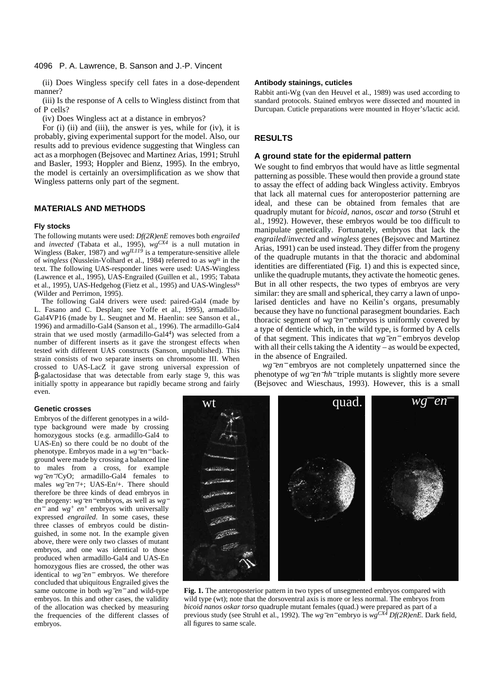## 4096 P. A. Lawrence, B. Sanson and J.-P. Vincent

(ii) Does Wingless specify cell fates in a dose-dependent manner?

(iii) Is the response of A cells to Wingless distinct from that of P cells?

(iv) Does Wingless act at a distance in embryos?

For (i) (ii) and (iii), the answer is yes, while for (iv), it is probably, giving experimental support for the model. Also, our results add to previous evidence suggesting that Wingless can act as a morphogen (Bejsovec and Martinez Arias, 1991; Struhl and Basler, 1993; Hoppler and Bienz, 1995). In the embryo, the model is certainly an oversimplification as we show that Wingless patterns only part of the segment.

# **MATERIALS AND METHODS**

#### **Fly stocks**

The following mutants were used: *Df(2R)enE* removes both *engrailed* and *invected* (Tabata et al., 1995), *wgCX4* is a null mutation in Wingless (Baker, 1987) and  $wg^{IL119}$  is a temperature-sensitive allele of *wingless* (Nusslein-Volhard et al., 1984) referred to as *wgts* in the text. The following UAS-responder lines were used: UAS-Wingless (Lawrence et al., 1995), UAS-Engrailed (Guillen et al., 1995; Tabata et al., 1995), UAS-Hedgehog (Fietz et al., 1995) and UAS-Winglessts (Wilder and Perrimon, 1995).

The following Gal4 drivers were used: paired-Gal4 (made by L. Fasano and C. Desplan; see Yoffe et al., 1995), armadillo-Gal4VP16 (made by L. Seugnet and M. Haenlin: see Sanson et al., 1996) and armadillo-Gal4 (Sanson et al., 1996). The armadillo-Gal4 strain that we used mostly (armadillo-Gal44) was selected from a number of different inserts as it gave the strongest effects when tested with different UAS constructs (Sanson, unpublished). This strain consists of two separate inserts on chromosome III. When crossed to UAS-LacZ it gave strong universal expression of β-galactosidase that was detectable from early stage 9, this was initially spotty in appearance but rapidly became strong and fairly even.

#### **Genetic crosses**

Embryos of the different genotypes in a wildtype background were made by crossing homozygous stocks (e.g. armadillo-Gal4 to UAS-En) so there could be no doubt of the phenotype. Embryos made in a *wg*−*en*<sup>−</sup> background were made by crossing a balanced line to males from a cross, for example *wg<sup>−</sup>en*<sup>−</sup>/CyO; armadillo-Gal4 females to males *wg*−*en*−/+; UAS-En/+. There should therefore be three kinds of dead embryos in the progeny: *wg*−*en*<sup>−</sup> embryos, as well as *wg*<sup>−</sup> *en*<sup>−</sup> and *wg+ en+* embryos with universally expressed *engrailed*. In some cases, these three classes of embryos could be distinguished, in some not. In the example given above, there were only two classes of mutant embryos, and one was identical to those produced when armadillo-Gal4 and UAS-En homozygous flies are crossed, the other was identical to *wg*−*en*<sup>−</sup> embryos. We therefore concluded that ubiquitous Engrailed gives the same outcome in both *wg<sup>−</sup>en*<sup>−</sup> and wild-type embryos. In this and other cases, the validity of the allocation was checked by measuring the frequencies of the different classes of embryos.

#### **Antibody stainings, cuticles**

Rabbit anti-Wg (van den Heuvel et al., 1989) was used according to standard protocols. Stained embryos were dissected and mounted in Durcupan. Cuticle preparations were mounted in Hoyer's/lactic acid.

# **RESULTS**

# **A ground state for the epidermal pattern**

We sought to find embryos that would have as little segmental patterning as possible. These would then provide a ground state to assay the effect of adding back Wingless activity. Embryos that lack all maternal cues for anteroposterior patterning are ideal, and these can be obtained from females that are quadruply mutant for *bicoid*, *nanos*, *oscar* and *torso* (Struhl et al., 1992). However, these embryos would be too difficult to manipulate genetically. Fortunately, embryos that lack the *engrailed*/*invected* and *wingless* genes (Bejsovec and Martinez Arias, 1991) can be used instead. They differ from the progeny of the quadruple mutants in that the thoracic and abdominal identities are differentiated (Fig. 1) and this is expected since, unlike the quadruple mutants, they activate the homeotic genes. But in all other respects, the two types of embryos are very similar: they are small and spherical, they carry a lawn of unpolarised denticles and have no Keilin's organs, presumably because they have no functional parasegment boundaries. Each thoracic segment of *wg*−*en*<sup>−</sup> embryos is uniformly covered by a type of denticle which, in the wild type, is formed by A cells of that segment. This indicates that *wg*−*en*<sup>−</sup> embryos develop with all their cells taking the A identity – as would be expected, in the absence of Engrailed.

*wg<sup>−</sup>en*<sup>−</sup> embryos are not completely unpatterned since the phenotype of *wg*−*en*−*hh*<sup>−</sup> triple mutants is slightly more severe (Bejsovec and Wieschaus, 1993). However, this is a small



**Fig. 1.** The anteroposterior pattern in two types of unsegmented embryos compared with wild type (wt); note that the dorsoventral axis is more or less normal. The embryos from *bicoid nanos oskar torso* quadruple mutant females (quad.) were prepared as part of a previous study (see Struhl et al., 1992). The *wg*−*en*<sup>−</sup> embryo is *wgCX4 Df(2R)enE.* Dark field, all figures to same scale.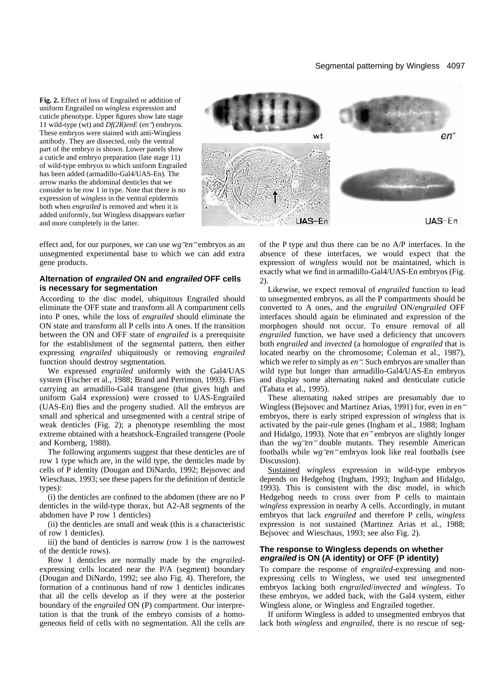# Segmental patterning by Wingless 4097

**Fig. 2.** Effect of loss of Engrailed or addition of uniform Engrailed on *wingless* expression and cuticle phenotype. Upper figures show late stage 11 wild-type (wt) and *Df(2R)enE* (*en*−) embryos. These embryos were stained with anti-Wingless antibody. They are dissected, only the ventral part of the embryo is shown. Lower panels show a cuticle and embryo preparation (late stage 11) of wild-type embryos to which uniform Engrailed has been added (armadillo-Gal4/UAS-En). The arrow marks the abdominal denticles that we consider to be row 1 in type. Note that there is no expression of *wingless* in the ventral epidermis both when *engrailed* is removed and when it is added uniformly, but Wingless disappears earlier and more completely in the latter.



effect and, for our purposes, we can use *wg*−*en*<sup>−</sup> embryos as an unsegmented experimental base to which we can add extra gene products.

# **Alternation of engrailed ON and engrailed OFF cells is necessary for segmentation**

According to the disc model, ubiquitous Engrailed should eliminate the OFF state and transform all A compartment cells into P ones, while the loss of *engrailed* should eliminate the ON state and transform all P cells into A ones. If the transition between the ON and OFF state of *engrailed* is a prerequisite for the establishment of the segmental pattern, then either expressing *engrailed* ubiquitously or removing *engrailed* function should destroy segmentation.

We expressed *engrailed* uniformly with the Gal4/UAS system (Fischer et al., 1988; Brand and Perrimon, 1993). Flies carrying an armadillo-Gal4 transgene (that gives high and uniform Gal4 expression) were crossed to UAS-Engrailed (UAS-En) flies and the progeny studied. All the embryos are small and spherical and unsegmented with a central stripe of weak denticles (Fig. 2); a phenotype resembling the most extreme obtained with a heatshock-Engrailed transgene (Poole and Kornberg, 1988).

The following arguments suggest that these denticles are of row 1 type which are, in the wild type, the denticles made by cells of P identity (Dougan and DiNardo, 1992; Bejsovec and Wieschaus, 1993; see these papers for the definition of denticle types):

(i) the denticles are confined to the abdomen (there are no P denticles in the wild-type thorax, but A2-A8 segments of the abdomen have P row 1 denticles)

(ii) the denticles are small and weak (this is a characteristic of row 1 denticles).

iii) the band of denticles is narrow (row 1 is the narrowest of the denticle rows).

Row 1 denticles are normally made by the *engrailed*expressing cells located near the P/A (segment) boundary (Dougan and DiNardo, 1992; see also Fig. 4). Therefore, the formation of a continuous band of row 1 denticles indicates that all the cells develop as if they were at the posterior boundary of the *engrailed* ON (P) compartment. Our interpretation is that the trunk of the embryo consists of a homogeneous field of cells with no segmentation. All the cells are

of the P type and thus there can be no A/P interfaces. In the absence of these interfaces, we would expect that the expression of *wingless* would not be maintained, which is exactly what we find in armadillo-Gal4/UAS-En embryos (Fig. 2).

Likewise, we expect removal of *engrailed* function to lead to unsegmented embryos, as all the P compartments should be converted to A ones, and the *engrailed* ON/*engrailed* OFF interfaces should again be eliminated and expression of the morphogen should not occur. To ensure removal of all *engrailed* function, we have used a deficiency that uncovers both *engrailed* and *invected* (a homologue of *engrailed* that is located nearby on the chromosome; Coleman et al., 1987), which we refer to simply as *en*−. Such embryos are smaller than wild type but longer than armadillo-Gal4/UAS-En embryos and display some alternating naked and denticulate cuticle (Tabata et al., 1995).

These alternating naked stripes are presumably due to Wingless (Bejsovec and Martinez Arias, 1991) for, even in *en*<sup>−</sup> embryos, there is early striped expression of *wingless* that is activated by the pair-rule genes (Ingham et al., 1988; Ingham and Hidalgo, 1993). Note that *en*<sup>−</sup> embryos are slightly longer than the *wg*−*en*<sup>−</sup> double mutants. They resemble American footballs while *wg*−*en*<sup>−</sup> embryos look like real footballs (see Discussion).

Sustained *wingless* expression in wild-type embryos depends on Hedgehog (Ingham, 1993; Ingham and Hidalgo, 1993). This is consistent with the disc model, in which Hedgehog needs to cross over from P cells to maintain *wingless* expression in nearby A cells. Accordingly, in mutant embryos that lack *engrailed* and therefore P cells, *wingless* expression is not sustained (Martinez Arias et al., 1988; Bejsovec and Wieschaus, 1993; see also Fig. 2).

# **The response to Wingless depends on whether engrailed is ON (A identity) or OFF (P identity)**

To compare the response of *engrailed*-expressing and nonexpressing cells to Wingless, we used test unsegmented embryos lacking both *engrailed*/*invected* and *wingless*. To these embryos, we added back, with the Gal4 system, either Wingless alone, or Wingless and Engrailed together.

If uniform Wingless is added to unsegmented embryos that lack both *wingless* and *engrailed*, there is no rescue of seg-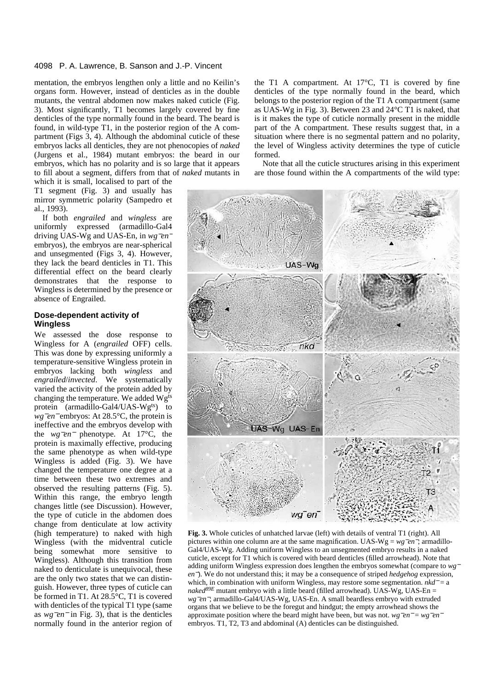## 4098 P. A. Lawrence, B. Sanson and J.-P. Vincent

mentation, the embryos lengthen only a little and no Keilin's organs form. However, instead of denticles as in the double mutants, the ventral abdomen now makes naked cuticle (Fig. 3). Most significantly, T1 becomes largely covered by fine denticles of the type normally found in the beard. The beard is found, in wild-type T1, in the posterior region of the A compartment (Figs 3, 4). Although the abdominal cuticle of these embryos lacks all denticles, they are not phenocopies of *naked* (Jurgens et al., 1984) mutant embryos: the beard in our embryos, which has no polarity and is so large that it appears to fill about a segment, differs from that of *naked* mutants in which it is small, localised to part of the

T1 segment (Fig. 3) and usually has mirror symmetric polarity (Sampedro et al., 1993).

If both *engrailed* and *wingless* are uniformly expressed (armadillo-Gal4 driving UAS-Wg and UAS-En, in *wg*−*en*<sup>−</sup> embryos), the embryos are near-spherical and unsegmented (Figs 3, 4). However, they lack the beard denticles in T1. This differential effect on the beard clearly demonstrates that the response to Wingless is determined by the presence or absence of Engrailed.

# **Dose-dependent activity of Wingless**

We assessed the dose response to Wingless for A (*engrailed* OFF) cells. This was done by expressing uniformly a temperature-sensitive Wingless protein in embryos lacking both *wingless* and *engrailed*/*invected*. We systematically varied the activity of the protein added by changing the temperature. We added Wgts protein (armadillo-Gal4/UAS-Wg<sup>ts</sup>) to *wg<sup>−</sup>en*<sup>−</sup> embryos: At 28.5°C, the protein is ineffective and the embryos develop with the *wg*−*en*<sup>−</sup> phenotype. At 17°C, the protein is maximally effective, producing the same phenotype as when wild-type Wingless is added (Fig. 3). We have changed the temperature one degree at a time between these two extremes and observed the resulting patterns (Fig. 5). Within this range, the embryo length changes little (see Discussion). However, the type of cuticle in the abdomen does change from denticulate at low activity (high temperature) to naked with high Wingless (with the midventral cuticle being somewhat more sensitive to Wingless). Although this transition from naked to denticulate is unequivocal, these are the only two states that we can distinguish. However, three types of cuticle can be formed in T1. At 28.5°C, T1 is covered with denticles of the typical T1 type (same as *wg*−*en*<sup>−</sup> in Fig. 3), that is the denticles normally found in the anterior region of the T1 A compartment. At  $17^{\circ}$ C, T1 is covered by fine denticles of the type normally found in the beard, which belongs to the posterior region of the T1 A compartment (same as UAS-Wg in Fig. 3). Between 23 and 24°C T1 is naked, that is it makes the type of cuticle normally present in the middle part of the A compartment. These results suggest that, in a situation where there is no segmental pattern and no polarity, the level of Wingless activity determines the type of cuticle formed.

Note that all the cuticle structures arising in this experiment are those found within the A compartments of the wild type:



**Fig. 3.** Whole cuticles of unhatched larvae (left) with details of ventral T1 (right). All pictures within one column are at the same magnification. UAS-Wg = *wg*−*en*−; armadillo-Gal4/UAS-Wg. Adding uniform Wingless to an unsegmented embryo results in a naked cuticle, except for T1 which is covered with beard denticles (filled arrowhead). Note that adding uniform Wingless expression does lengthen the embryos somewhat (compare to *wg*<sup>−</sup> *en*<sup>−</sup>). We do not understand this; it may be a consequence of striped *hedgehog* expression, which, in combination with uniform Wingless, may restore some segmentation. *nkd*<sup>−</sup> = a *naked*<sup>89E</sup> mutant embryo with a little beard (filled arrowhead). UAS-Wg, UAS-En = *wg*−*en*−; armadillo-Gal4/UAS-Wg, UAS-En. A small beardless embryo with extruded organs that we believe to be the foregut and hindgut; the empty arrowhead shows the approximate position where the beard might have been, but was not. *wg*−*en*<sup>−</sup> = *wg*−*en*<sup>−</sup> embryos. T1, T2, T3 and abdominal (A) denticles can be distinguished.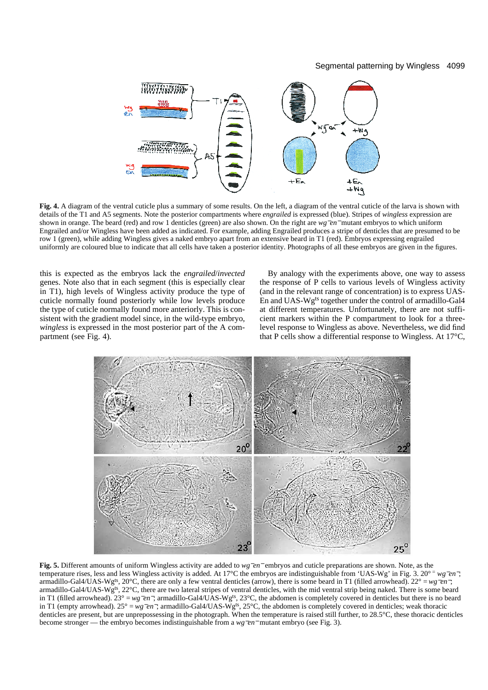# Segmental patterning by Wingless 4099



**Fig. 4.** A diagram of the ventral cuticle plus a summary of some results. On the left, a diagram of the ventral cuticle of the larva is shown with details of the T1 and A5 segments. Note the posterior compartments where *engrailed* is expressed (blue). Stripes of *wingless* expression are shown in orange. The beard (red) and row 1 denticles (green) are also shown. On the right are *wg*−*en*<sup>−</sup> mutant embryos to which uniform Engrailed and/or Wingless have been added as indicated. For example, adding Engrailed produces a stripe of denticles that are presumed to be row 1 (green), while adding Wingless gives a naked embryo apart from an extensive beard in T1 (red). Embryos expressing engrailed uniformly are coloured blue to indicate that all cells have taken a posterior identity. Photographs of all these embryos are given in the figures.

this is expected as the embryos lack the *engrailed*/*invected* genes. Note also that in each segment (this is especially clear in T1), high levels of Wingless activity produce the type of cuticle normally found posteriorly while low levels produce the type of cuticle normally found more anteriorly. This is consistent with the gradient model since, in the wild-type embryo, *wingless* is expressed in the most posterior part of the A compartment (see Fig. 4).

By analogy with the experiments above, one way to assess the response of P cells to various levels of Wingless activity (and in the relevant range of concentration) is to express UAS-En and UAS-Wgts together under the control of armadillo-Gal4 at different temperatures. Unfortunately, there are not sufficient markers within the P compartment to look for a threelevel response to Wingless as above. Nevertheless, we did find that P cells show a differential response to Wingless. At 17°C,



**Fig. 5.** Different amounts of uniform Wingless activity are added to *wg*−*en*<sup>−</sup> embryos and cuticle preparations are shown. Note, as the temperature rises, less and less Wingless activity is added. At 17°C the embryos are indistinguishable from 'UAS-Wg' in Fig. 3. 20° <sup>=</sup> *wg*−*en*−; armadillo-Gal4/UAS-Wg<sup>ts</sup>, 20°C, there are only a few ventral denticles (arrow), there is some beard in T1 (filled arrowhead). 22° = *wg*<sup>−</sup>*en*<sup>−</sup>; armadillo-Gal4/UAS-Wg<sup>ts</sup>, 22°C, there are two lateral stripes of ventral denticles, with the mid ventral strip being naked. There is some beard in T1 (filled arrowhead). 23° = *wg*−*en*−; armadillo-Gal4/UAS-Wgts, 23°C, the abdomen is completely covered in denticles but there is no beard in T1 (empty arrowhead). 25° = *wg*−*en*−; armadillo-Gal4/UAS-Wgts, 25°C, the abdomen is completely covered in denticles; weak thoracic denticles are present, but are unprepossessing in the photograph. When the temperature is raised still further, to 28.5°C, these thoracic denticles become stronger — the embryo becomes indistinguishable from a *wg*−*en*<sup>−</sup> mutant embryo (see Fig. 3).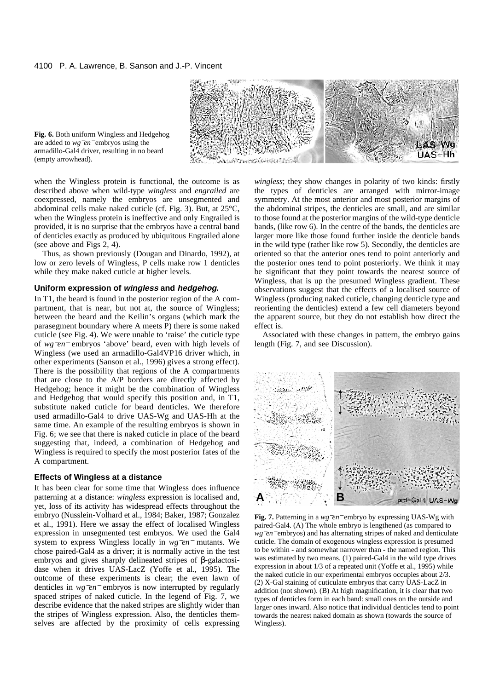

**Fig. 6.** Both uniform Wingless and Hedgehog are added to *wg*−*en*<sup>−</sup> embryos using the armadillo-Gal4 driver, resulting in no beard (empty arrowhead).

when the Wingless protein is functional, the outcome is as described above when wild-type *wingless* and *engrailed* are coexpressed, namely the embryos are unsegmented and abdominal cells make naked cuticle (cf. Fig. 3). But, at 25°C, when the Wingless protein is ineffective and only Engrailed is provided, it is no surprise that the embryos have a central band of denticles exactly as produced by ubiquitous Engrailed alone (see above and Figs 2, 4).

Thus, as shown previously (Dougan and Dinardo, 1992), at low or zero levels of Wingless, P cells make row 1 denticles while they make naked cuticle at higher levels.

# **Uniform expression of wingless and hedgehog.**

In T1, the beard is found in the posterior region of the A compartment, that is near, but not at, the source of Wingless; between the beard and the Keilin's organs (which mark the parasegment boundary where A meets P) there is some naked cuticle (see Fig. 4). We were unable to 'raise' the cuticle type of *wg*−*en*<sup>−</sup> embryos 'above' beard, even with high levels of Wingless (we used an armadillo-Gal4VP16 driver which, in other experiments (Sanson et al., 1996) gives a strong effect). There is the possibility that regions of the A compartments that are close to the A/P borders are directly affected by Hedgehog; hence it might be the combination of Wingless and Hedgehog that would specify this position and, in T1, substitute naked cuticle for beard denticles. We therefore used armadillo-Gal4 to drive UAS-Wg and UAS-Hh at the same time. An example of the resulting embryos is shown in Fig. 6; we see that there is naked cuticle in place of the beard suggesting that, indeed, a combination of Hedgehog and Wingless is required to specify the most posterior fates of the A compartment.

# **Effects of Wingless at a distance**

It has been clear for some time that Wingless does influence patterning at a distance: *wingless* expression is localised and, yet, loss of its activity has widespread effects throughout the embryo (Nusslein-Volhard et al., 1984; Baker, 1987; Gonzalez et al., 1991). Here we assay the effect of localised Wingless expression in unsegmented test embryos. We used the Gal4 system to express Wingless locally in *wg*−*en*<sup>−</sup> mutants. We chose paired-Gal4 as a driver; it is normally active in the test embryos and gives sharply delineated stripes of β-galactosidase when it drives UAS-LacZ (Yoffe et al., 1995). The outcome of these experiments is clear; the even lawn of denticles in *wg*−*en*<sup>−</sup> embryos is now interrupted by regularly spaced stripes of naked cuticle. In the legend of Fig. 7, we describe evidence that the naked stripes are slightly wider than the stripes of Wingless expression. Also, the denticles themselves are affected by the proximity of cells expressing *wingless*; they show changes in polarity of two kinds: firstly the types of denticles are arranged with mirror-image symmetry. At the most anterior and most posterior margins of the abdominal stripes, the denticles are small, and are similar to those found at the posterior margins of the wild-type denticle bands, (like row 6). In the centre of the bands, the denticles are larger more like those found further inside the denticle bands in the wild type (rather like row 5). Secondly, the denticles are oriented so that the anterior ones tend to point anteriorly and the posterior ones tend to point posteriorly. We think it may be significant that they point towards the nearest source of Wingless, that is up the presumed Wingless gradient. These observations suggest that the effects of a localised source of Wingless (producing naked cuticle, changing denticle type and reorienting the denticles) extend a few cell diameters beyond the apparent source, but they do not establish how direct the effect is.

Associated with these changes in pattern, the embryo gains length (Fig. 7, and see Discussion).



**Fig. 7.** Patterning in a *wg*−*en*<sup>−</sup> embryo by expressing UAS-Wg with paired-Gal4. (A) The whole embryo is lengthened (as compared to *wg*<sup>−</sup>*en*<sup>−</sup> embryos) and has alternating stripes of naked and denticulate cuticle. The domain of exogenous wingless expression is presumed to be within - and somewhat narrower than - the named region. This was estimated by two means. (1) paired-Gal4 in the wild type drives expression in about 1/3 of a repeated unit (Yoffe et al., 1995) while the naked cuticle in our experimental embryos occupies about 2/3. (2) X-Gal staining of cuticulate embryos that carry UAS-LacZ in addition (not shown). (B) At high magnification, it is clear that two types of denticles form in each band: small ones on the outside and larger ones inward. Also notice that individual denticles tend to point towards the nearest naked domain as shown (towards the source of Wingless).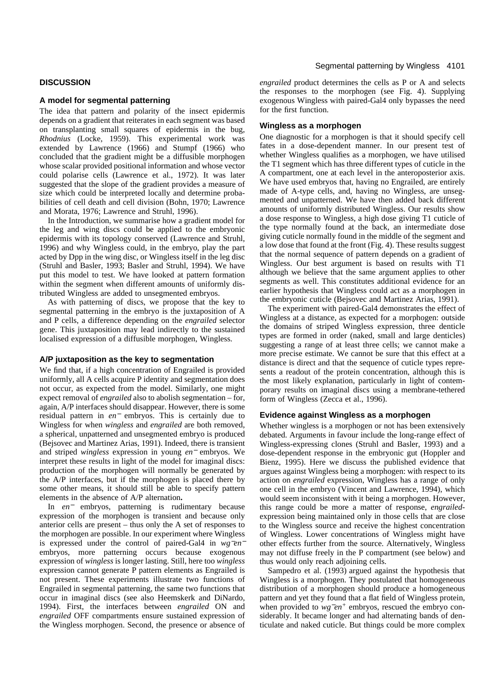## **DISCUSSION**

# **A model for segmental patterning**

The idea that pattern and polarity of the insect epidermis depends on a gradient that reiterates in each segment was based on transplanting small squares of epidermis in the bug, *Rhodnius* (Locke, 1959). This experimental work was extended by Lawrence (1966) and Stumpf (1966) who concluded that the gradient might be a diffusible morphogen whose scalar provided positional information and whose vector could polarise cells (Lawrence et al., 1972). It was later suggested that the slope of the gradient provides a measure of size which could be interpreted locally and determine probabilities of cell death and cell division (Bohn, 1970; Lawrence and Morata, 1976; Lawrence and Struhl, 1996).

In the Introduction, we summarise how a gradient model for the leg and wing discs could be applied to the embryonic epidermis with its topology conserved (Lawrence and Struhl, 1996) and why Wingless could, in the embryo, play the part acted by Dpp in the wing disc, or Wingless itself in the leg disc (Struhl and Basler, 1993; Basler and Struhl, 1994). We have put this model to test. We have looked at pattern formation within the segment when different amounts of uniformly distributed Wingless are added to unsegmented embryos.

As with patterning of discs, we propose that the key to segmental patterning in the embryo is the juxtaposition of A and P cells, a difference depending on the *engrailed* selector gene. This juxtaposition may lead indirectly to the sustained localised expression of a diffusible morphogen, Wingless.

# **A/P juxtaposition as the key to segmentation**

We find that, if a high concentration of Engrailed is provided uniformly, all A cells acquire P identity and segmentation does not occur, as expected from the model. Similarly, one might expect removal of *engrailed* also to abolish segmentation – for, again, A/P interfaces should disappear. However, there is some residual pattern in *en*<sup>−</sup> embryos. This is certainly due to Wingless for when *wingless* and *engrailed* are both removed, a spherical, unpatterned and unsegmented embryo is produced (Bejsovec and Martinez Arias, 1991). Indeed, there is transient and striped *wingless* expression in young *en*<sup>−</sup> embryos. We interpret these results in light of the model for imaginal discs: production of the morphogen will normally be generated by the A/P interfaces, but if the morphogen is placed there by some other means, it should still be able to specify pattern elements in the absence of A/P alternation**.** 

In *en*<sup>−</sup> embryos, patterning is rudimentary because expression of the morphogen is transient and because only anterior cells are present – thus only the A set of responses to the morphogen are possible. In our experiment where Wingless is expressed under the control of paired-Gal4 in *wg*−*en*<sup>−</sup> embryos, more patterning occurs because exogenous expression of *wingless* is longer lasting. Still, here too *wingless* expression cannot generate P pattern elements as Engrailed is not present. These experiments illustrate two functions of Engrailed in segmental patterning, the same two functions that occur in imaginal discs (see also Heemskerk and DiNardo, 1994). First, the interfaces between *engrailed* ON and *engrailed* OFF compartments ensure sustained expression of the Wingless morphogen. Second, the presence or absence of

*engrailed* product determines the cells as P or A and selects the responses to the morphogen (see Fig. 4). Supplying exogenous Wingless with paired-Gal4 only bypasses the need for the first function.

# **Wingless as a morphogen**

One diagnostic for a morphogen is that it should specify cell fates in a dose-dependent manner. In our present test of whether Wingless qualifies as a morphogen, we have utilised the T1 segment which has three different types of cuticle in the A compartment, one at each level in the anteroposterior axis. We have used embryos that, having no Engrailed, are entirely made of A-type cells, and, having no Wingless, are unsegmented and unpatterned. We have then added back different amounts of uniformly distributed Wingless. Our results show a dose response to Wingless, a high dose giving T1 cuticle of the type normally found at the back, an intermediate dose giving cuticle normally found in the middle of the segment and a low dose that found at the front (Fig. 4). These results suggest that the normal sequence of pattern depends on a gradient of Wingless. Our best argument is based on results with T1 although we believe that the same argument applies to other segments as well. This constitutes additional evidence for an earlier hypothesis that Wingless could act as a morphogen in the embryonic cuticle (Bejsovec and Martinez Arias, 1991).

The experiment with paired-Gal4 demonstrates the effect of Wingless at a distance, as expected for a morphogen: outside the domains of striped Wingless expression, three denticle types are formed in order (naked, small and large denticles) suggesting a range of at least three cells; we cannot make a more precise estimate. We cannot be sure that this effect at a distance is direct and that the sequence of cuticle types represents a readout of the protein concentration, although this is the most likely explanation, particularly in light of contemporary results on imaginal discs using a membrane-tethered form of Wingless (Zecca et al., 1996).

## **Evidence against Wingless as a morphogen**

Whether wingless is a morphogen or not has been extensively debated. Arguments in favour include the long-range effect of Wingless-expressing clones (Struhl and Basler, 1993) and a dose-dependent response in the embryonic gut (Hoppler and Bienz, 1995). Here we discuss the published evidence that argues against Wingless being a morphogen: with respect to its action on *engrailed* expression, Wingless has a range of only one cell in the embryo (Vincent and Lawrence, 1994), which would seem inconsistent with it being a morphogen. However, this range could be more a matter of response, *engrailed*expression being maintained only in those cells that are close to the Wingless source and receive the highest concentration of Wingless. Lower concentrations of Wingless might have other effects further from the source. Alternatively, Wingless may not diffuse freely in the P compartment (see below) and thus would only reach adjoining cells.

Sampedro et al. (1993) argued against the hypothesis that Wingless is a morphogen. They postulated that homogeneous distribution of a morphogen should produce a homogeneous pattern and yet they found that a flat field of Wingless protein, when provided to *wg<sup>−</sup>en*<sup>+</sup> embryos, rescued the embryo considerably. It became longer and had alternating bands of denticulate and naked cuticle. But things could be more complex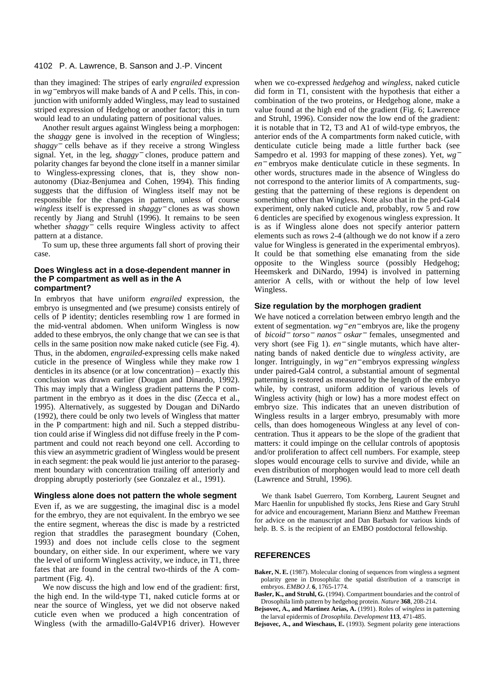# 4102 P. A. Lawrence, B. Sanson and J.-P. Vincent

than they imagined: The stripes of early *engrailed* expression in *wg*<sup>−</sup> embryos will make bands of A and P cells. This, in conjunction with uniformly added Wingless, may lead to sustained striped expression of Hedgehog or another factor; this in turn would lead to an undulating pattern of positional values.

Another result argues against Wingless being a morphogen: the *shaggy* gene is involved in the reception of Wingless; *shaggy*<sup>−</sup> cells behave as if they receive a strong Wingless signal. Yet, in the leg, *shaggy*<sup>−</sup> clones, produce pattern and polarity changes far beyond the clone itself in a manner similar to Wingless-expressing clones, that is, they show nonautonomy (Diaz-Benjumea and Cohen, 1994). This finding suggests that the diffusion of Wingless itself may not be responsible for the changes in pattern, unless of course *wingless* itself is expressed in *shaggy*<sup>−</sup> clones as was shown recently by Jiang and Struhl (1996). It remains to be seen whether *shaggy*<sup>−</sup> cells require Wingless activity to affect pattern at a distance.

To sum up, these three arguments fall short of proving their case.

## **Does Wingless act in a dose-dependent manner in the P compartment as well as in the A compartment?**

In embryos that have uniform *engrailed* expression, the embryo is unsegmented and (we presume) consists entirely of cells of P identity; denticles resembling row 1 are formed in the mid-ventral abdomen. When uniform Wingless is now added to these embryos, the only change that we can see is that cells in the same position now make naked cuticle (see Fig. 4). Thus, in the abdomen, *engrailed*-expressing cells make naked cuticle in the presence of Wingless while they make row 1 denticles in its absence (or at low concentration) – exactly this conclusion was drawn earlier (Dougan and Dinardo, 1992). This may imply that a Wingless gradient patterns the P compartment in the embryo as it does in the disc (Zecca et al., 1995). Alternatively, as suggested by Dougan and DiNardo (1992), there could be only two levels of Wingless that matter in the P compartment: high and nil. Such a stepped distribution could arise if Wingless did not diffuse freely in the P compartment and could not reach beyond one cell. According to this view an asymmetric gradient of Wingless would be present in each segment: the peak would lie just anterior to the parasegment boundary with concentration trailing off anteriorly and dropping abruptly posteriorly (see Gonzalez et al., 1991).

# **Wingless alone does not pattern the whole segment**

Even if, as we are suggesting, the imaginal disc is a model for the embryo, they are not equivalent. In the embryo we see the entire segment, whereas the disc is made by a restricted region that straddles the parasegment boundary (Cohen, 1993) and does not include cells close to the segment boundary, on either side. In our experiment, where we vary the level of uniform Wingless activity, we induce, in T1, three fates that are found in the central two-thirds of the A compartment (Fig. 4).

We now discuss the high and low end of the gradient: first, the high end. In the wild-type T1, naked cuticle forms at or near the source of Wingless, yet we did not observe naked cuticle even when we produced a high concentration of Wingless (with the armadillo-Gal4VP16 driver). However when we co-expressed *hedgehog* and *wingless*, naked cuticle did form in T1, consistent with the hypothesis that either a combination of the two proteins, or Hedgehog alone, make a value found at the high end of the gradient (Fig. 6; Lawrence and Struhl, 1996). Consider now the low end of the gradient: it is notable that in T2, T3 and A1 of wild-type embryos, the anterior ends of the A compartments form naked cuticle, with denticulate cuticle being made a little further back (see Sampedro et al. 1993 for mapping of these zones). Yet, *wg*<sup>−</sup> *en*<sup>−</sup> embryos make denticulate cuticle in these segments. In other words, structures made in the absence of Wingless do not correspond to the anterior limits of A compartments, suggesting that the patterning of these regions is dependent on something other than Wingless. Note also that in the prd-Gal4 experiment, only naked cuticle and, probably, row 5 and row 6 denticles are specified by exogenous wingless expression. It is as if Wingless alone does not specify anterior pattern elements such as rows 2-4 (although we do not know if a zero value for Wingless is generated in the experimental embryos). It could be that something else emanating from the side opposite to the Wingless source (possibly Hedgehog; Heemskerk and DiNardo, 1994) is involved in patterning anterior A cells, with or without the help of low level Wingless.

# **Size regulation by the morphogen gradient**

We have noticed a correlation between embryo length and the extent of segmentation. *wg*<sup>−</sup> *en*<sup>−</sup> embryos are, like the progeny of *bicoid*<sup>−</sup> *torso*<sup>−</sup> *nanos*<sup>−</sup> *oskar*<sup>−</sup> females, unsegmented and very short (see Fig 1). *en*<sup>−</sup> single mutants, which have alternating bands of naked denticle due to *wingless* activity, are longer. Intriguingly, in *wg*<sup>−</sup> *en*<sup>−</sup> embryos expressing *wingless* under paired-Gal4 control, a substantial amount of segmental patterning is restored as measured by the length of the embryo while, by contrast, uniform addition of various levels of Wingless activity (high or low) has a more modest effect on embryo size. This indicates that an uneven distribution of Wingless results in a larger embryo, presumably with more cells, than does homogeneous Wingless at any level of concentration. Thus it appears to be the slope of the gradient that matters: it could impinge on the cellular controls of apoptosis and/or proliferation to affect cell numbers. For example, steep slopes would encourage cells to survive and divide, while an even distribution of morphogen would lead to more cell death (Lawrence and Struhl, 1996).

We thank Isabel Guerrero, Tom Kornberg, Laurent Seugnet and Marc Haenlin for unpublished fly stocks, Jens Riese and Gary Struhl for advice and encouragement, Mariann Bienz and Matthew Freeman for advice on the manuscript and Dan Barbash for various kinds of help. B. S. is the recipient of an EMBO postdoctoral fellowship.

## **REFERENCES**

**Baker, N. E.** (1987). Molecular cloning of sequences from wingless a segment polarity gene in Drosophila: the spatial distribution of a transcript in embryos. *EMBO J.* **6**, 1765-1774.

- **Basler, K., and Struhl, G.** (1994). Compartment boundaries and the control of Drosophila limb pattern by hedgehog protein. *Nature* **368**, 208-214.
- **Bejsovec, A., and Martinez Arias, A.** (1991). Roles of *wingless* in patterning the larval epidermis of *Drosophila*. *Development* **113**, 471-485.

**Bejsovec, A., and Wieschaus, E.** (1993). Segment polarity gene interactions